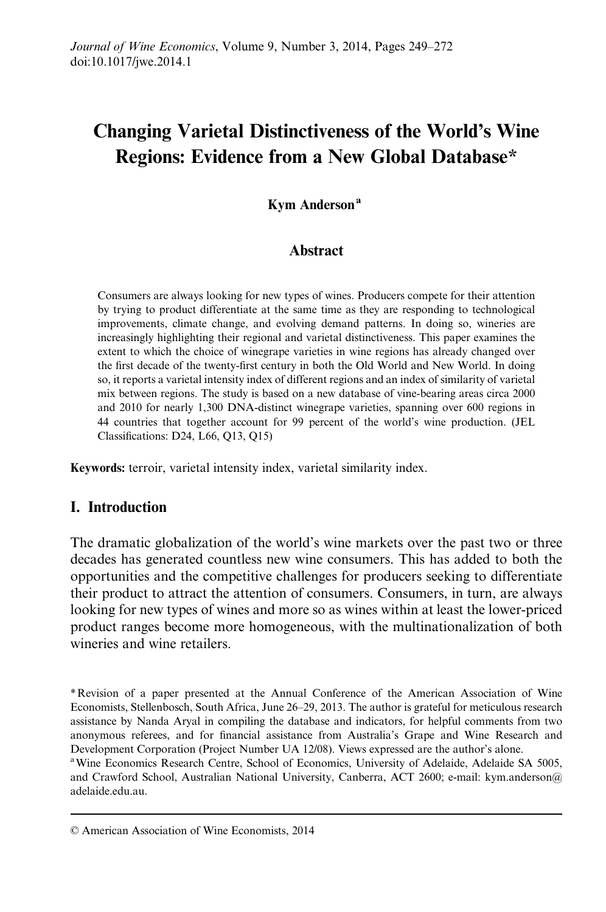# Changing Varietal Distinctiveness of the World's Wine Regions: Evidence from a New Global Database\*

Kym Anderson<sup>a</sup>

# Abstract

Consumers are always looking for new types of wines. Producers compete for their attention by trying to product differentiate at the same time as they are responding to technological improvements, climate change, and evolving demand patterns. In doing so, wineries are increasingly highlighting their regional and varietal distinctiveness. This paper examines the extent to which the choice of winegrape varieties in wine regions has already changed over the first decade of the twenty-first century in both the Old World and New World. In doing so, it reports a varietal intensity index of different regions and an index of similarity of varietal mix between regions. The study is based on a new database of vine-bearing areas circa 2000 and 2010 for nearly 1,300 DNA-distinct winegrape varieties, spanning over 600 regions in 44 countries that together account for 99 percent of the world's wine production. (JEL Classifications: D24, L66, Q13, Q15)

Keywords: terroir, varietal intensity index, varietal similarity index.

### I. Introduction

The dramatic globalization of the world's wine markets over the past two or three decades has generated countless new wine consumers. This has added to both the opportunities and the competitive challenges for producers seeking to differentiate their product to attract the attention of consumers. Consumers, in turn, are always looking for new types of wines and more so as wines within at least the lower-priced product ranges become more homogeneous, with the multinationalization of both wineries and wine retailers.

\*Revision of a paper presented at the Annual Conference of the American Association of Wine Economists, Stellenbosch, South Africa, June 26–29, 2013. The author is grateful for meticulous research assistance by Nanda Aryal in compiling the database and indicators, for helpful comments from two anonymous referees, and for financial assistance from Australia's Grape and Wine Research and Development Corporation (Project Number UA 12/08). Views expressed are the author's alone.

Wine Economics Research Centre, School of Economics, University of Adelaide, Adelaide SA 5005, and Crawford School, Australian National University, Canberra, ACT 2600; e-mail: kym.anderson@ adelaide.edu.au.

<sup>©</sup> American Association of Wine Economists, 2014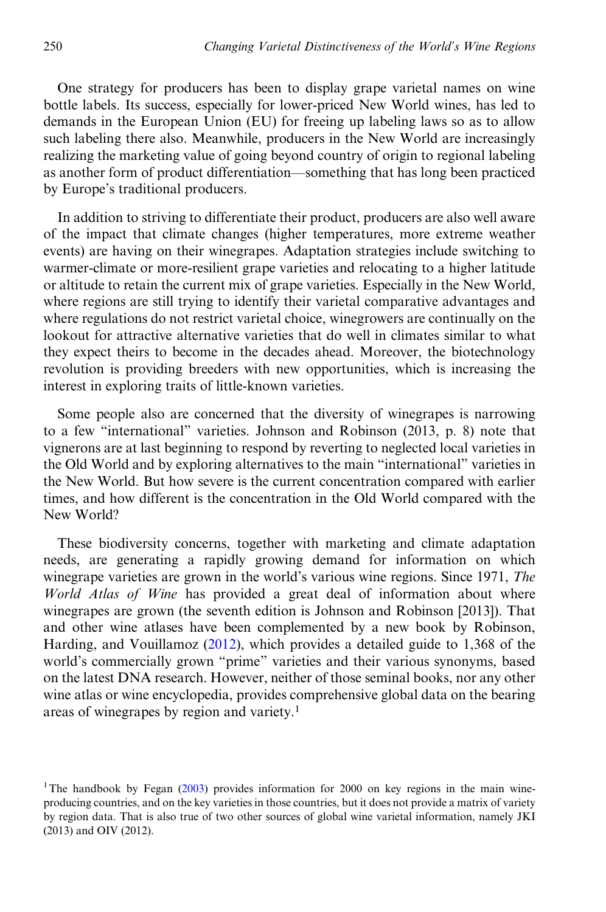One strategy for producers has been to display grape varietal names on wine bottle labels. Its success, especially for lower-priced New World wines, has led to demands in the European Union (EU) for freeing up labeling laws so as to allow such labeling there also. Meanwhile, producers in the New World are increasingly realizing the marketing value of going beyond country of origin to regional labeling as another form of product differentiation—something that has long been practiced by Europe's traditional producers.

In addition to striving to differentiate their product, producers are also well aware of the impact that climate changes (higher temperatures, more extreme weather events) are having on their winegrapes. Adaptation strategies include switching to warmer-climate or more-resilient grape varieties and relocating to a higher latitude or altitude to retain the current mix of grape varieties. Especially in the New World, where regions are still trying to identify their varietal comparative advantages and where regulations do not restrict varietal choice, winegrowers are continually on the lookout for attractive alternative varieties that do well in climates similar to what they expect theirs to become in the decades ahead. Moreover, the biotechnology revolution is providing breeders with new opportunities, which is increasing the interest in exploring traits of little-known varieties.

Some people also are concerned that the diversity of winegrapes is narrowing to a few "international" varieties. Johnson and Robinson (2013, p. 8) note that vignerons are at last beginning to respond by reverting to neglected local varieties in the Old World and by exploring alternatives to the main "international" varieties in the New World. But how severe is the current concentration compared with earlier times, and how different is the concentration in the Old World compared with the New World?

These biodiversity concerns, together with marketing and climate adaptation needs, are generating a rapidly growing demand for information on which winegrape varieties are grown in the world's various wine regions. Since 1971, The World Atlas of Wine has provided a great deal of information about where winegrapes are grown (the seventh edition is Johnson and Robinson [2013]). That and other wine atlases have been complemented by a new book by Robinson, Harding, and Vouillamoz (2012), which provides a detailed guide to 1,368 of the world's commercially grown "prime" varieties and their various synonyms, based on the latest DNA research. However, neither of those seminal books, nor any other wine atlas or wine encyclopedia, provides comprehensive global data on the bearing areas of winegrapes by region and variety.1

<sup>&</sup>lt;sup>1</sup>The handbook by Fegan (2003) provides information for 2000 on key regions in the main wineproducing countries, and on the key varieties in those countries, but it does not provide a matrix of variety by region data. That is also true of two other sources of global wine varietal information, namely JKI (2013) and OIV (2012).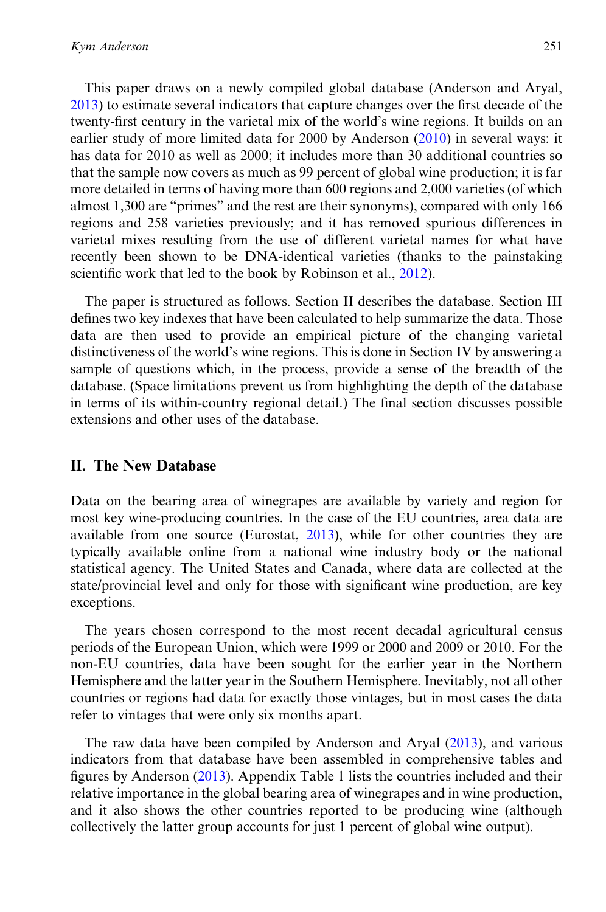This paper draws on a newly compiled global database (Anderson and Aryal, 2013) to estimate several indicators that capture changes over the first decade of the twenty-first century in the varietal mix of the world's wine regions. It builds on an earlier study of more limited data for 2000 by Anderson (2010) in several ways: it has data for 2010 as well as 2000; it includes more than 30 additional countries so that the sample now covers as much as 99 percent of global wine production; it is far more detailed in terms of having more than 600 regions and 2,000 varieties (of which almost 1,300 are "primes" and the rest are their synonyms), compared with only 166 regions and 258 varieties previously; and it has removed spurious differences in varietal mixes resulting from the use of different varietal names for what have recently been shown to be DNA-identical varieties (thanks to the painstaking scientific work that led to the book by Robinson et al., 2012).

The paper is structured as follows. Section II describes the database. Section III defines two key indexes that have been calculated to help summarize the data. Those data are then used to provide an empirical picture of the changing varietal distinctiveness of the world's wine regions. This is done in Section IV by answering a sample of questions which, in the process, provide a sense of the breadth of the database. (Space limitations prevent us from highlighting the depth of the database in terms of its within-country regional detail.) The final section discusses possible extensions and other uses of the database.

### II. The New Database

Data on the bearing area of winegrapes are available by variety and region for most key wine-producing countries. In the case of the EU countries, area data are available from one source (Eurostat, 2013), while for other countries they are typically available online from a national wine industry body or the national statistical agency. The United States and Canada, where data are collected at the state/provincial level and only for those with significant wine production, are key exceptions.

The years chosen correspond to the most recent decadal agricultural census periods of the European Union, which were 1999 or 2000 and 2009 or 2010. For the non-EU countries, data have been sought for the earlier year in the Northern Hemisphere and the latter year in the Southern Hemisphere. Inevitably, not all other countries or regions had data for exactly those vintages, but in most cases the data refer to vintages that were only six months apart.

The raw data have been compiled by Anderson and Aryal (2013), and various indicators from that database have been assembled in comprehensive tables and figures by Anderson (2013). Appendix Table 1 lists the countries included and their relative importance in the global bearing area of winegrapes and in wine production, and it also shows the other countries reported to be producing wine (although collectively the latter group accounts for just 1 percent of global wine output).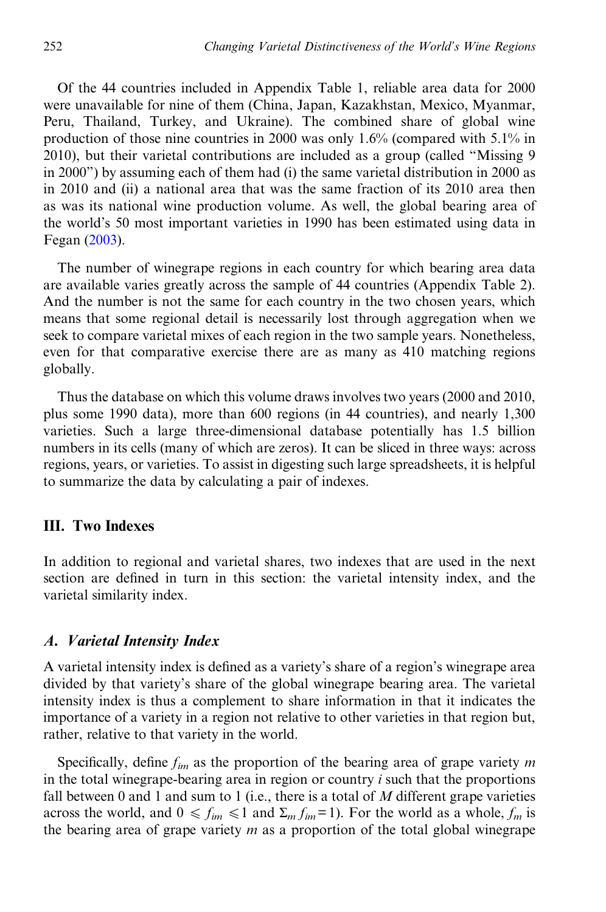Of the 44 countries included in Appendix Table 1, reliable area data for 2000 were unavailable for nine of them (China, Japan, Kazakhstan, Mexico, Myanmar, Peru, Thailand, Turkey, and Ukraine). The combined share of global wine production of those nine countries in 2000 was only 1.6% (compared with 5.1% in 2010), but their varietal contributions are included as a group (called "Missing 9 in 2000") by assuming each of them had (i) the same varietal distribution in 2000 as in 2010 and (ii) a national area that was the same fraction of its 2010 area then as was its national wine production volume. As well, the global bearing area of the world's 50 most important varieties in 1990 has been estimated using data in Fegan (2003).

The number of winegrape regions in each country for which bearing area data are available varies greatly across the sample of 44 countries (Appendix Table 2). And the number is not the same for each country in the two chosen years, which means that some regional detail is necessarily lost through aggregation when we seek to compare varietal mixes of each region in the two sample years. Nonetheless, even for that comparative exercise there are as many as 410 matching regions globally.

Thus the database on which this volume draws involves two years (2000 and 2010, plus some 1990 data), more than 600 regions (in 44 countries), and nearly 1,300 varieties. Such a large three-dimensional database potentially has 1.5 billion numbers in its cells (many of which are zeros). It can be sliced in three ways: across regions, years, or varieties. To assist in digesting such large spreadsheets, it is helpful to summarize the data by calculating a pair of indexes.

### III. Two Indexes

In addition to regional and varietal shares, two indexes that are used in the next section are defined in turn in this section: the varietal intensity index, and the varietal similarity index.

### A. Varietal Intensity Index

A varietal intensity index is defined as a variety's share of a region's winegrape area divided by that variety's share of the global winegrape bearing area. The varietal intensity index is thus a complement to share information in that it indicates the importance of a variety in a region not relative to other varieties in that region but, rather, relative to that variety in the world.

Specifically, define  $f_{im}$  as the proportion of the bearing area of grape variety m in the total winegrape-bearing area in region or country  $i$  such that the proportions fall between 0 and 1 and sum to 1 (i.e., there is a total of  $M$  different grape varieties across the world, and  $0 \le f_{im} \le 1$  and  $\Sigma_m f_{im} = 1$ ). For the world as a whole,  $f_m$  is the bearing area of grape variety  $m$  as a proportion of the total global winegrape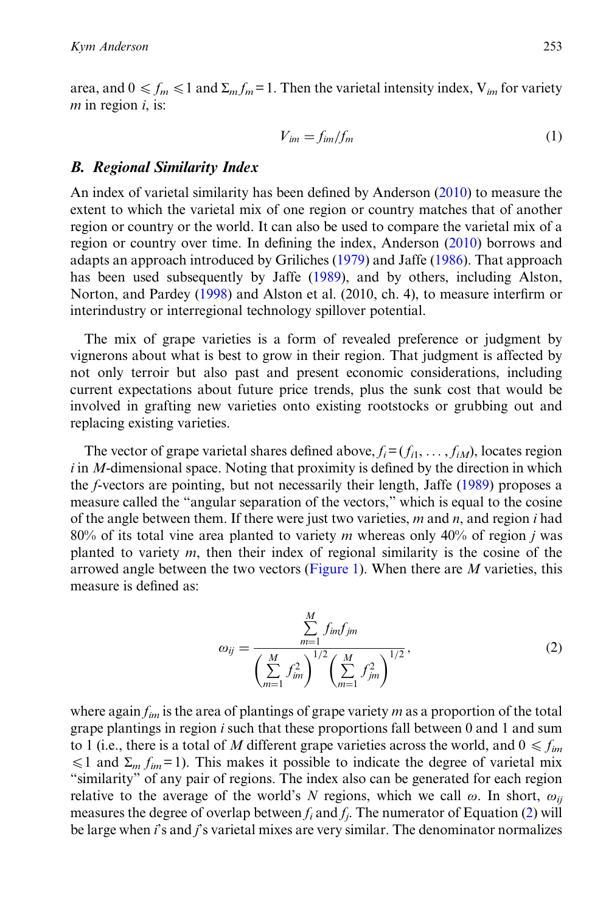area, and  $0 \le f_m \le 1$  and  $\Sigma_m f_m = 1$ . Then the varietal intensity index,  $V_{im}$  for variety  $m$  in region  $i$ , is:

$$
V_{im} = f_{im}/f_m \tag{1}
$$

### B. Regional Similarity Index

An index of varietal similarity has been defined by Anderson (2010) to measure the extent to which the varietal mix of one region or country matches that of another region or country or the world. It can also be used to compare the varietal mix of a region or country over time. In defining the index, Anderson (2010) borrows and adapts an approach introduced by Griliches (1979) and Jaffe (1986). That approach has been used subsequently by Jaffe (1989), and by others, including Alston, Norton, and Pardey (1998) and Alston et al. (2010, ch. 4), to measure interfirm or interindustry or interregional technology spillover potential.

The mix of grape varieties is a form of revealed preference or judgment by vignerons about what is best to grow in their region. That judgment is affected by not only terroir but also past and present economic considerations, including current expectations about future price trends, plus the sunk cost that would be involved in grafting new varieties onto existing rootstocks or grubbing out and replacing existing varieties.

The vector of grape varietal shares defined above,  $f_i = (f_{i1}, \ldots, f_{iM})$ , locates region  $i$  in M-dimensional space. Noting that proximity is defined by the direction in which the f-vectors are pointing, but not necessarily their length, Jaffe (1989) proposes a measure called the "angular separation of the vectors," which is equal to the cosine of the angle between them. If there were just two varieties,  $m$  and  $n$ , and region i had 80% of its total vine area planted to variety m whereas only 40% of region j was planted to variety  $m$ , then their index of regional similarity is the cosine of the arrowed angle between the two vectors (Figure 1). When there are  $M$  varieties, this measure is defined as:

$$
\omega_{ij} = \frac{\sum_{m=1}^{M} f_{im} f_{jm}}{\left(\sum_{m=1}^{M} f_{im}^2\right)^{1/2} \left(\sum_{m=1}^{M} f_{jm}^2\right)^{1/2}},\tag{2}
$$

where again  $f_{im}$  is the area of plantings of grape variety m as a proportion of the total grape plantings in region  $i$  such that these proportions fall between 0 and 1 and sum to 1 (i.e., there is a total of M different grape varieties across the world, and  $0 \leq f_{im}$  $\leq 1$  and  $\Sigma_m f_{im} = 1$ ). This makes it possible to indicate the degree of varietal mix "similarity" of any pair of regions. The index also can be generated for each region relative to the average of the world's N regions, which we call  $\omega$ . In short,  $\omega_{ii}$ measures the degree of overlap between  $f_i$  and  $f_i$ . The numerator of Equation (2) will be large when i's and j's varietal mixes are very similar. The denominator normalizes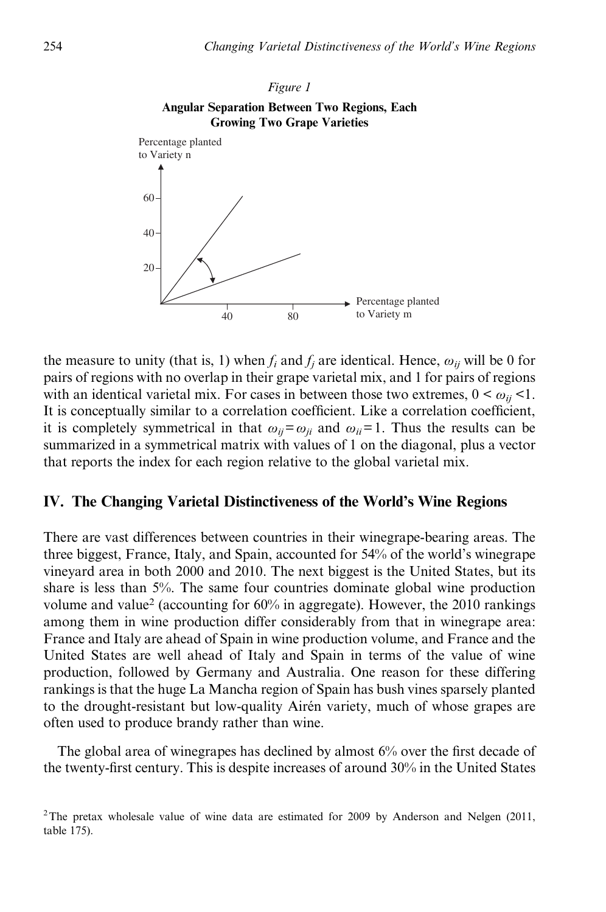



the measure to unity (that is, 1) when  $f_i$  and  $f_j$  are identical. Hence,  $\omega_{ij}$  will be 0 for pairs of regions with no overlap in their grape varietal mix, and 1 for pairs of regions with an identical varietal mix. For cases in between those two extremes,  $0 < \omega_{ij} < 1$ . It is conceptually similar to a correlation coefficient. Like a correlation coefficient, it is completely symmetrical in that  $\omega_{ii} = \omega_{ii}$  and  $\omega_{ii} = 1$ . Thus the results can be summarized in a symmetrical matrix with values of 1 on the diagonal, plus a vector that reports the index for each region relative to the global varietal mix.

#### IV. The Changing Varietal Distinctiveness of the World's Wine Regions

There are vast differences between countries in their winegrape-bearing areas. The three biggest, France, Italy, and Spain, accounted for 54% of the world's winegrape vineyard area in both 2000 and 2010. The next biggest is the United States, but its share is less than 5%. The same four countries dominate global wine production volume and value<sup>2</sup> (accounting for 60% in aggregate). However, the 2010 rankings among them in wine production differ considerably from that in winegrape area: France and Italy are ahead of Spain in wine production volume, and France and the United States are well ahead of Italy and Spain in terms of the value of wine production, followed by Germany and Australia. One reason for these differing rankings is that the huge La Mancha region of Spain has bush vines sparsely planted to the drought-resistant but low-quality Airén variety, much of whose grapes are often used to produce brandy rather than wine.

The global area of winegrapes has declined by almost 6% over the first decade of the twenty-first century. This is despite increases of around 30% in the United States

<sup>&</sup>lt;sup>2</sup>The pretax wholesale value of wine data are estimated for 2009 by Anderson and Nelgen (2011, table 175).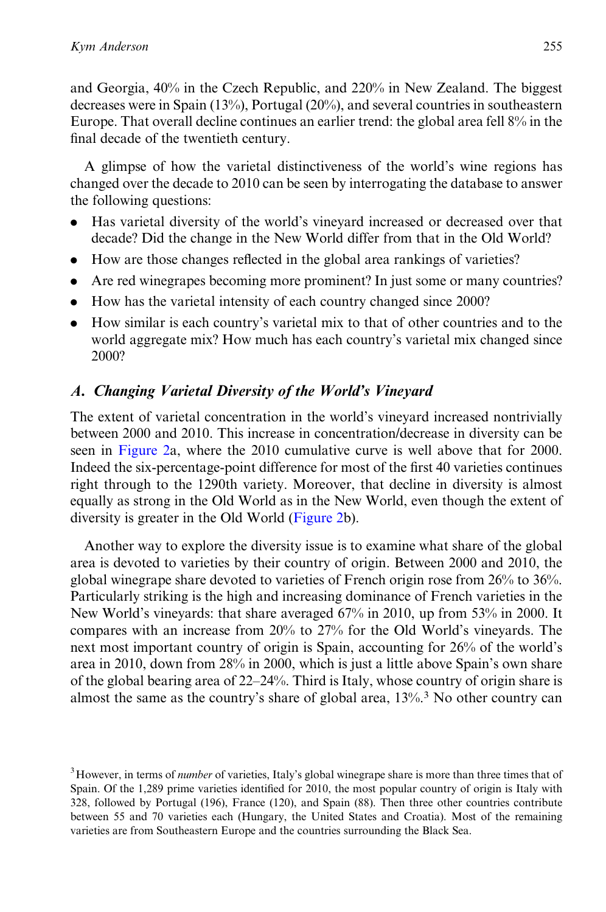and Georgia, 40% in the Czech Republic, and 220% in New Zealand. The biggest decreases were in Spain (13%), Portugal (20%), and several countries in southeastern Europe. That overall decline continues an earlier trend: the global area fell 8% in the final decade of the twentieth century.

A glimpse of how the varietal distinctiveness of the world's wine regions has changed over the decade to 2010 can be seen by interrogating the database to answer the following questions:

- . Has varietal diversity of the world's vineyard increased or decreased over that decade? Did the change in the New World differ from that in the Old World?
- . How are those changes reflected in the global area rankings of varieties?
- . Are red winegrapes becoming more prominent? In just some or many countries?
- . How has the varietal intensity of each country changed since 2000?
- . How similar is each country's varietal mix to that of other countries and to the world aggregate mix? How much has each country's varietal mix changed since 2000?

# A. Changing Varietal Diversity of the World's Vineyard

The extent of varietal concentration in the world's vineyard increased nontrivially between 2000 and 2010. This increase in concentration/decrease in diversity can be seen in Figure 2a, where the 2010 cumulative curve is well above that for 2000. Indeed the six-percentage-point difference for most of the first 40 varieties continues right through to the 1290th variety. Moreover, that decline in diversity is almost equally as strong in the Old World as in the New World, even though the extent of diversity is greater in the Old World (Figure 2b).

Another way to explore the diversity issue is to examine what share of the global area is devoted to varieties by their country of origin. Between 2000 and 2010, the global winegrape share devoted to varieties of French origin rose from 26% to 36%. Particularly striking is the high and increasing dominance of French varieties in the New World's vineyards: that share averaged 67% in 2010, up from 53% in 2000. It compares with an increase from 20% to 27% for the Old World's vineyards. The next most important country of origin is Spain, accounting for 26% of the world's area in 2010, down from 28% in 2000, which is just a little above Spain's own share of the global bearing area of 22–24%. Third is Italy, whose country of origin share is almost the same as the country's share of global area,  $13\%$ <sup>3</sup> No other country can

<sup>&</sup>lt;sup>3</sup>However, in terms of *number* of varieties, Italy's global winegrape share is more than three times that of Spain. Of the 1,289 prime varieties identified for 2010, the most popular country of origin is Italy with 328, followed by Portugal (196), France (120), and Spain (88). Then three other countries contribute between 55 and 70 varieties each (Hungary, the United States and Croatia). Most of the remaining varieties are from Southeastern Europe and the countries surrounding the Black Sea.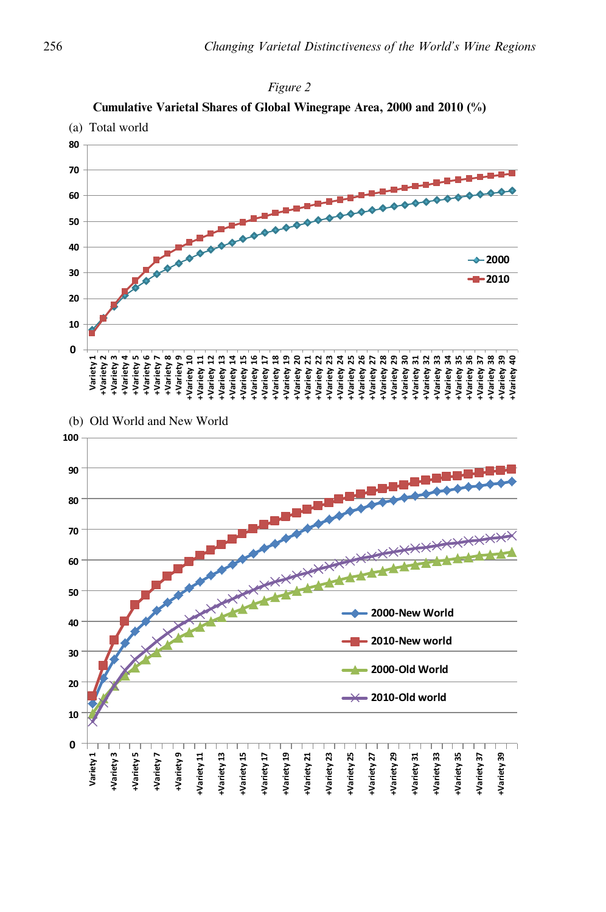

Figure 2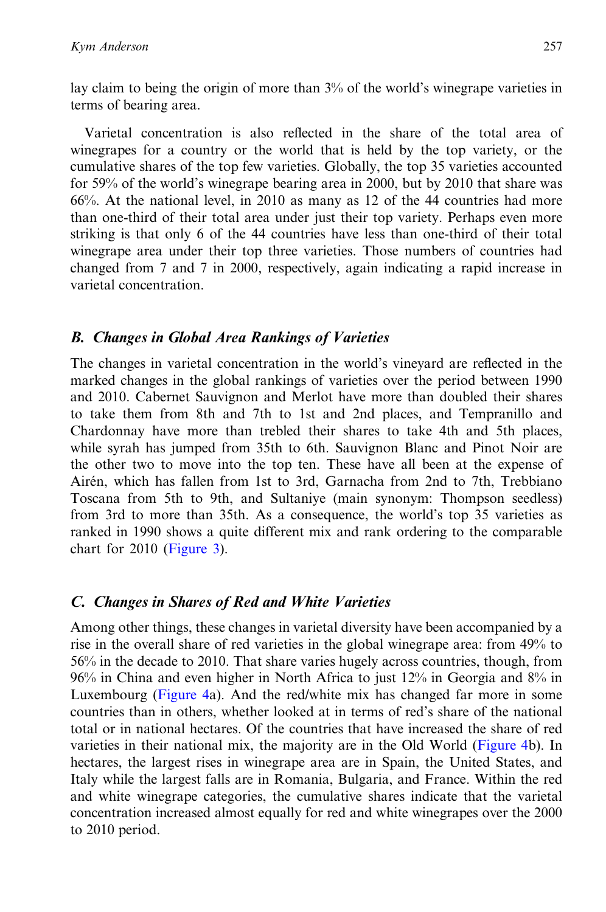lay claim to being the origin of more than 3% of the world's winegrape varieties in terms of bearing area.

Varietal concentration is also reflected in the share of the total area of winegrapes for a country or the world that is held by the top variety, or the cumulative shares of the top few varieties. Globally, the top 35 varieties accounted for 59% of the world's winegrape bearing area in 2000, but by 2010 that share was 66%. At the national level, in 2010 as many as 12 of the 44 countries had more than one-third of their total area under just their top variety. Perhaps even more striking is that only 6 of the 44 countries have less than one-third of their total winegrape area under their top three varieties. Those numbers of countries had changed from 7 and 7 in 2000, respectively, again indicating a rapid increase in varietal concentration.

# B. Changes in Global Area Rankings of Varieties

The changes in varietal concentration in the world's vineyard are reflected in the marked changes in the global rankings of varieties over the period between 1990 and 2010. Cabernet Sauvignon and Merlot have more than doubled their shares to take them from 8th and 7th to 1st and 2nd places, and Tempranillo and Chardonnay have more than trebled their shares to take 4th and 5th places, while syrah has jumped from 35th to 6th. Sauvignon Blanc and Pinot Noir are the other two to move into the top ten. These have all been at the expense of Airén, which has fallen from 1st to 3rd, Garnacha from 2nd to 7th, Trebbiano Toscana from 5th to 9th, and Sultaniye (main synonym: Thompson seedless) from 3rd to more than 35th. As a consequence, the world's top 35 varieties as ranked in 1990 shows a quite different mix and rank ordering to the comparable chart for 2010 (Figure 3).

# C. Changes in Shares of Red and White Varieties

Among other things, these changes in varietal diversity have been accompanied by a rise in the overall share of red varieties in the global winegrape area: from 49% to 56% in the decade to 2010. That share varies hugely across countries, though, from 96% in China and even higher in North Africa to just 12% in Georgia and 8% in Luxembourg (Figure 4a). And the red/white mix has changed far more in some countries than in others, whether looked at in terms of red's share of the national total or in national hectares. Of the countries that have increased the share of red varieties in their national mix, the majority are in the Old World (Figure 4b). In hectares, the largest rises in winegrape area are in Spain, the United States, and Italy while the largest falls are in Romania, Bulgaria, and France. Within the red and white winegrape categories, the cumulative shares indicate that the varietal concentration increased almost equally for red and white winegrapes over the 2000 to 2010 period.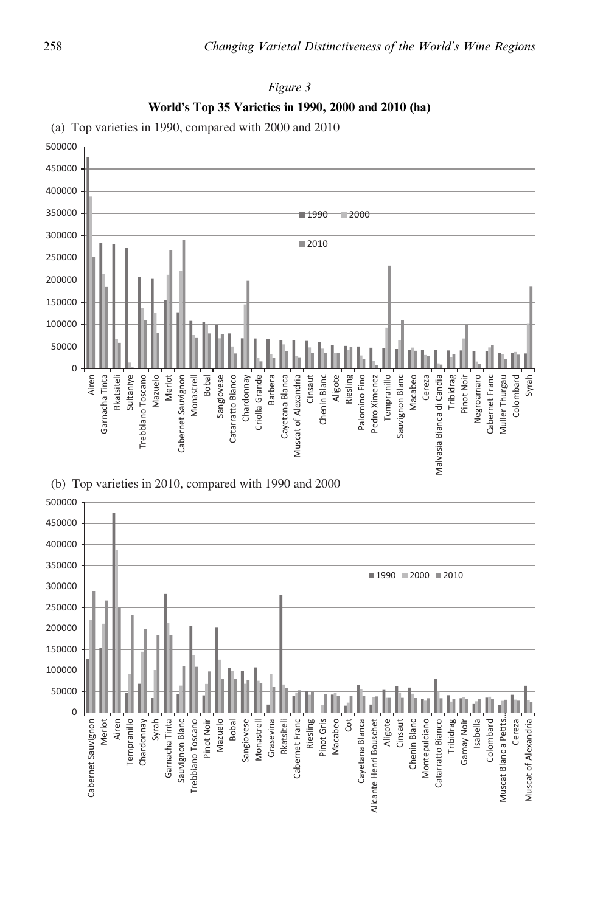

Figure 3 World's Top 35 Varieties in 1990, 2000 and 2010 (ha)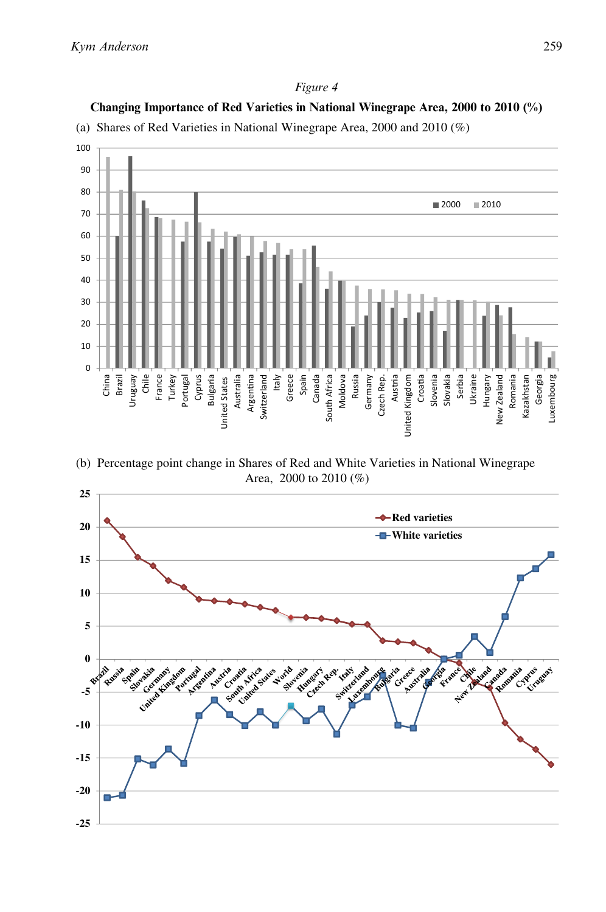

### Changing Importance of Red Varieties in National Winegrape Area, 2000 to 2010 (%)



(a) Shares of Red Varieties in National Winegrape Area, 2000 and 2010 (%)

(b) Percentage point change in Shares of Red and White Varieties in National Winegrape Area, 2000 to 2010 (%)

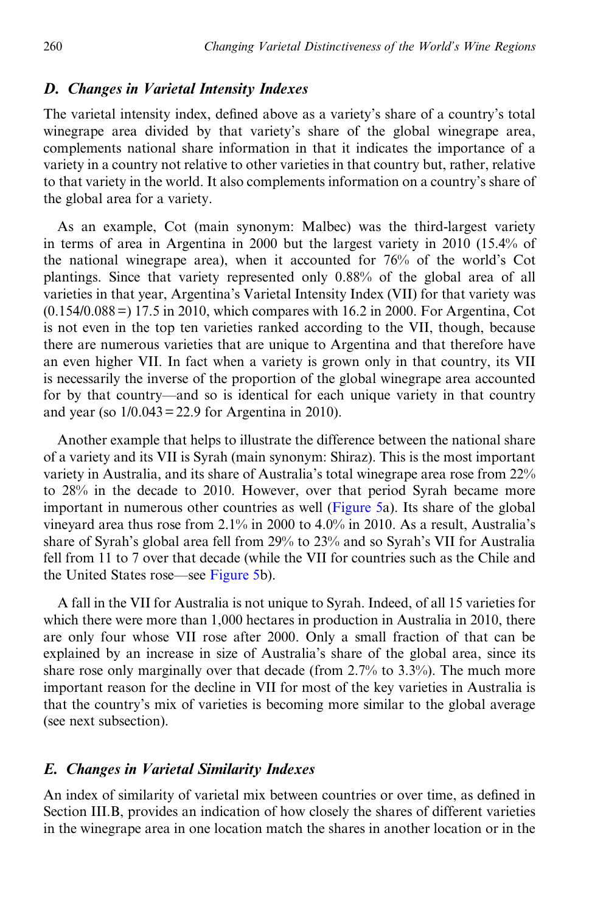#### D. Changes in Varietal Intensity Indexes

The varietal intensity index, defined above as a variety's share of a country's total winegrape area divided by that variety's share of the global winegrape area, complements national share information in that it indicates the importance of a variety in a country not relative to other varieties in that country but, rather, relative to that variety in the world. It also complements information on a country's share of the global area for a variety.

As an example, Cot (main synonym: Malbec) was the third-largest variety in terms of area in Argentina in 2000 but the largest variety in 2010 (15.4% of the national winegrape area), when it accounted for 76% of the world's Cot plantings. Since that variety represented only 0.88% of the global area of all varieties in that year, Argentina's Varietal Intensity Index (VII) for that variety was (0.154/0.088=) 17.5 in 2010, which compares with 16.2 in 2000. For Argentina, Cot is not even in the top ten varieties ranked according to the VII, though, because there are numerous varieties that are unique to Argentina and that therefore have an even higher VII. In fact when a variety is grown only in that country, its VII is necessarily the inverse of the proportion of the global winegrape area accounted for by that country—and so is identical for each unique variety in that country and year (so  $1/0.043 = 22.9$  for Argentina in 2010).

Another example that helps to illustrate the difference between the national share of a variety and its VII is Syrah (main synonym: Shiraz). This is the most important variety in Australia, and its share of Australia's total winegrape area rose from 22% to 28% in the decade to 2010. However, over that period Syrah became more important in numerous other countries as well (Figure 5a). Its share of the global vineyard area thus rose from  $2.1\%$  in 2000 to 4.0% in 2010. As a result, Australia's share of Syrah's global area fell from 29% to 23% and so Syrah's VII for Australia fell from 11 to 7 over that decade (while the VII for countries such as the Chile and the United States rose—see Figure 5b).

A fall in the VII for Australia is not unique to Syrah. Indeed, of all 15 varieties for which there were more than 1,000 hectares in production in Australia in 2010, there are only four whose VII rose after 2000. Only a small fraction of that can be explained by an increase in size of Australia's share of the global area, since its share rose only marginally over that decade (from 2.7% to 3.3%). The much more important reason for the decline in VII for most of the key varieties in Australia is that the country's mix of varieties is becoming more similar to the global average (see next subsection).

#### E. Changes in Varietal Similarity Indexes

An index of similarity of varietal mix between countries or over time, as defined in Section III.B, provides an indication of how closely the shares of different varieties in the winegrape area in one location match the shares in another location or in the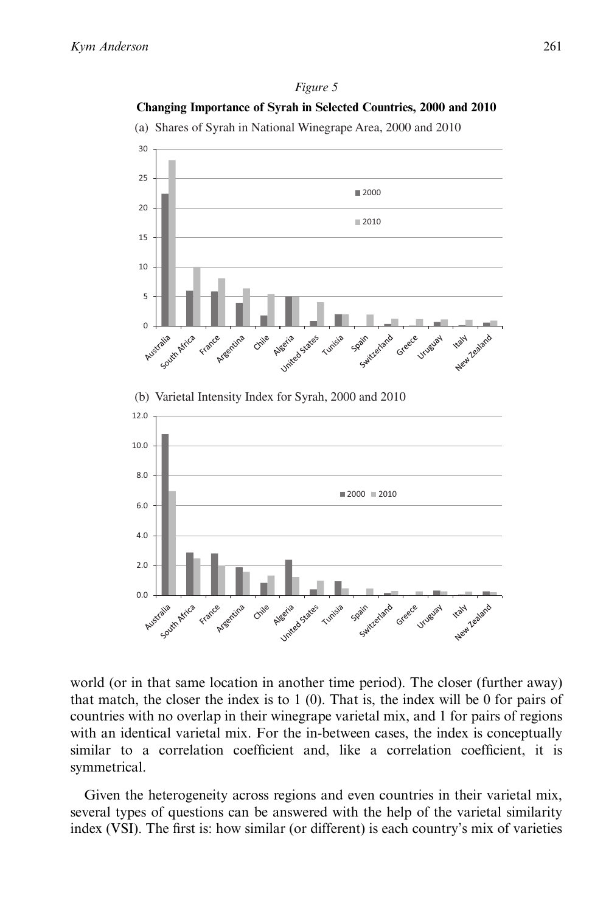

#### Changing Importance of Syrah in Selected Countries, 2000 and 2010



(a) Shares of Syrah in National Winegrape Area, 2000 and 2010

world (or in that same location in another time period). The closer (further away) that match, the closer the index is to 1 (0). That is, the index will be 0 for pairs of countries with no overlap in their winegrape varietal mix, and 1 for pairs of regions with an identical varietal mix. For the in-between cases, the index is conceptually similar to a correlation coefficient and, like a correlation coefficient, it is symmetrical.

Given the heterogeneity across regions and even countries in their varietal mix, several types of questions can be answered with the help of the varietal similarity index (VSI). The first is: how similar (or different) is each country's mix of varieties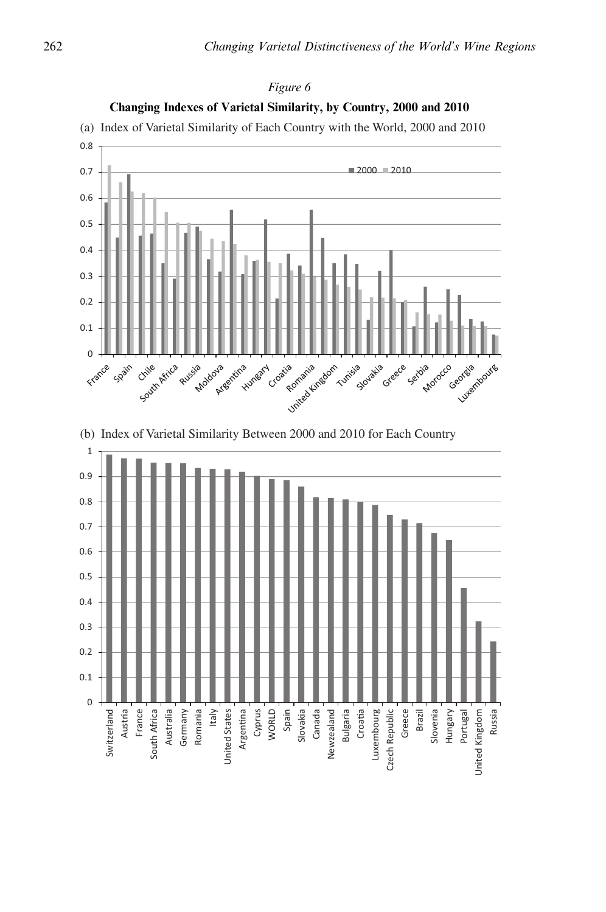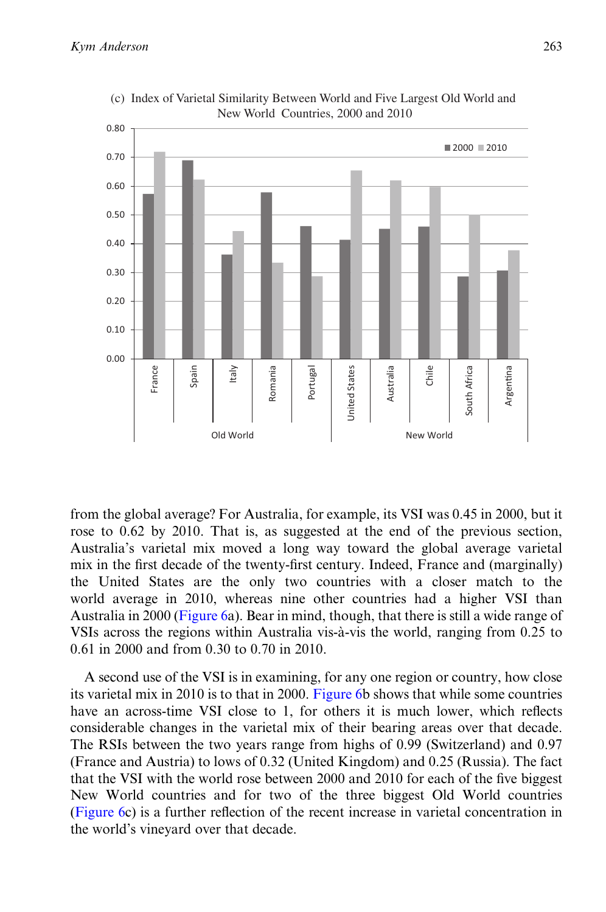

(c) Index of Varietal Similarity Between World and Five Largest Old World and New World Countries, 2000 and 2010

from the global average? For Australia, for example, its VSI was 0.45 in 2000, but it rose to 0.62 by 2010. That is, as suggested at the end of the previous section, Australia's varietal mix moved a long way toward the global average varietal mix in the first decade of the twenty-first century. Indeed, France and (marginally) the United States are the only two countries with a closer match to the world average in 2010, whereas nine other countries had a higher VSI than Australia in 2000 (Figure 6a). Bear in mind, though, that there is still a wide range of VSIs across the regions within Australia vis-à-vis the world, ranging from 0.25 to 0.61 in 2000 and from 0.30 to 0.70 in 2010.

A second use of the VSI is in examining, for any one region or country, how close its varietal mix in 2010 is to that in 2000. Figure 6b shows that while some countries have an across-time VSI close to 1, for others it is much lower, which reflects considerable changes in the varietal mix of their bearing areas over that decade. The RSIs between the two years range from highs of 0.99 (Switzerland) and 0.97 (France and Austria) to lows of 0.32 (United Kingdom) and 0.25 (Russia). The fact that the VSI with the world rose between 2000 and 2010 for each of the five biggest New World countries and for two of the three biggest Old World countries (Figure 6c) is a further reflection of the recent increase in varietal concentration in the world's vineyard over that decade.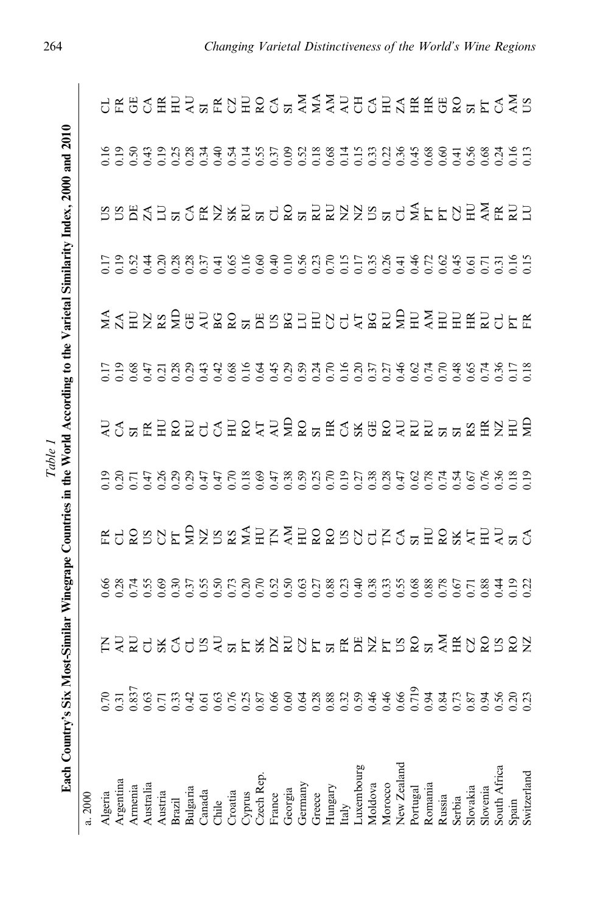|              | I |
|--------------|---|
| 21           |   |
| L.<br>∍<br>٣ | İ |
| Ξ            |   |

Each Country's Six Most-Similar Winegrape Countries in the World According to the Varietal Similarity Index, 2000 and 2010 Each Country's Six Most-Similar Winegrape Countries in the World According to the Varietal Similarity Index, 2000 and 2010

| a. 2000                                                                  |                                                                                                                                                                                                                                                                                                                                                                                                                                                                                               |  |                                                                 |  |  |  |                                                                          |                                                 |
|--------------------------------------------------------------------------|-----------------------------------------------------------------------------------------------------------------------------------------------------------------------------------------------------------------------------------------------------------------------------------------------------------------------------------------------------------------------------------------------------------------------------------------------------------------------------------------------|--|-----------------------------------------------------------------|--|--|--|--------------------------------------------------------------------------|-------------------------------------------------|
|                                                                          |                                                                                                                                                                                                                                                                                                                                                                                                                                                                                               |  |                                                                 |  |  |  |                                                                          |                                                 |
|                                                                          |                                                                                                                                                                                                                                                                                                                                                                                                                                                                                               |  |                                                                 |  |  |  |                                                                          |                                                 |
|                                                                          |                                                                                                                                                                                                                                                                                                                                                                                                                                                                                               |  |                                                                 |  |  |  |                                                                          |                                                 |
| Algeria<br>Argentina<br>Armenia<br>Australia                             |                                                                                                                                                                                                                                                                                                                                                                                                                                                                                               |  |                                                                 |  |  |  |                                                                          |                                                 |
|                                                                          |                                                                                                                                                                                                                                                                                                                                                                                                                                                                                               |  |                                                                 |  |  |  |                                                                          |                                                 |
|                                                                          |                                                                                                                                                                                                                                                                                                                                                                                                                                                                                               |  |                                                                 |  |  |  |                                                                          |                                                 |
|                                                                          |                                                                                                                                                                                                                                                                                                                                                                                                                                                                                               |  |                                                                 |  |  |  |                                                                          |                                                 |
|                                                                          |                                                                                                                                                                                                                                                                                                                                                                                                                                                                                               |  |                                                                 |  |  |  |                                                                          |                                                 |
|                                                                          |                                                                                                                                                                                                                                                                                                                                                                                                                                                                                               |  |                                                                 |  |  |  |                                                                          |                                                 |
|                                                                          |                                                                                                                                                                                                                                                                                                                                                                                                                                                                                               |  |                                                                 |  |  |  |                                                                          |                                                 |
|                                                                          |                                                                                                                                                                                                                                                                                                                                                                                                                                                                                               |  |                                                                 |  |  |  |                                                                          |                                                 |
|                                                                          |                                                                                                                                                                                                                                                                                                                                                                                                                                                                                               |  |                                                                 |  |  |  |                                                                          |                                                 |
|                                                                          |                                                                                                                                                                                                                                                                                                                                                                                                                                                                                               |  |                                                                 |  |  |  |                                                                          |                                                 |
| Georgia<br>Germany                                                       |                                                                                                                                                                                                                                                                                                                                                                                                                                                                                               |  |                                                                 |  |  |  |                                                                          |                                                 |
|                                                                          |                                                                                                                                                                                                                                                                                                                                                                                                                                                                                               |  |                                                                 |  |  |  |                                                                          |                                                 |
| Greee<br>Hungary<br>Hungary<br>Italy<br>Luxembourg<br>Moldova<br>Moldova |                                                                                                                                                                                                                                                                                                                                                                                                                                                                                               |  |                                                                 |  |  |  |                                                                          |                                                 |
|                                                                          |                                                                                                                                                                                                                                                                                                                                                                                                                                                                                               |  |                                                                 |  |  |  |                                                                          |                                                 |
|                                                                          |                                                                                                                                                                                                                                                                                                                                                                                                                                                                                               |  |                                                                 |  |  |  |                                                                          |                                                 |
|                                                                          |                                                                                                                                                                                                                                                                                                                                                                                                                                                                                               |  |                                                                 |  |  |  |                                                                          |                                                 |
|                                                                          |                                                                                                                                                                                                                                                                                                                                                                                                                                                                                               |  |                                                                 |  |  |  |                                                                          |                                                 |
|                                                                          |                                                                                                                                                                                                                                                                                                                                                                                                                                                                                               |  |                                                                 |  |  |  |                                                                          |                                                 |
| New Zealand<br>Portugal                                                  |                                                                                                                                                                                                                                                                                                                                                                                                                                                                                               |  |                                                                 |  |  |  |                                                                          |                                                 |
|                                                                          |                                                                                                                                                                                                                                                                                                                                                                                                                                                                                               |  |                                                                 |  |  |  |                                                                          |                                                 |
|                                                                          |                                                                                                                                                                                                                                                                                                                                                                                                                                                                                               |  |                                                                 |  |  |  |                                                                          |                                                 |
| Romania<br>Russia<br>Serbia                                              |                                                                                                                                                                                                                                                                                                                                                                                                                                                                                               |  |                                                                 |  |  |  |                                                                          |                                                 |
|                                                                          |                                                                                                                                                                                                                                                                                                                                                                                                                                                                                               |  |                                                                 |  |  |  |                                                                          |                                                 |
| Slovakia                                                                 |                                                                                                                                                                                                                                                                                                                                                                                                                                                                                               |  |                                                                 |  |  |  |                                                                          |                                                 |
| <b>Slovenia</b>                                                          |                                                                                                                                                                                                                                                                                                                                                                                                                                                                                               |  |                                                                 |  |  |  |                                                                          |                                                 |
| South Africa                                                             |                                                                                                                                                                                                                                                                                                                                                                                                                                                                                               |  |                                                                 |  |  |  |                                                                          |                                                 |
| Spain                                                                    | $\begin{array}{l} \mathcal{C} \\ \mathcal{C} \\ \mathcal{C} \\ \mathcal{C} \\ \mathcal{C} \\ \mathcal{C} \\ \mathcal{C} \\ \mathcal{C} \\ \mathcal{C} \\ \mathcal{C} \\ \mathcal{C} \\ \mathcal{C} \\ \mathcal{C} \\ \mathcal{C} \\ \mathcal{C} \\ \mathcal{C} \\ \mathcal{C} \\ \mathcal{C} \\ \mathcal{C} \\ \mathcal{C} \\ \mathcal{C} \\ \mathcal{C} \\ \mathcal{C} \\ \mathcal{C} \\ \mathcal{C} \\ \mathcal{C} \\ \mathcal{C} \\ \mathcal{C} \\ \mathcal{C} \\ \mathcal{C} \\ \mathcal$ |  | 使 t 8 k 8 k 8 k 8 k 3 k 5 k 3 k 8 k 8 k 9 k 8 k 4 h 3 k 4 k 9 k |  |  |  | 99993883934456993939399399899798496<br>009090999999999999999999999999999 | BEBSEE로~ 또요 B 중 2 정부 중 19 오 명 또 또 용 정 보 또 오 설 R |
| switzerland                                                              |                                                                                                                                                                                                                                                                                                                                                                                                                                                                                               |  |                                                                 |  |  |  |                                                                          |                                                 |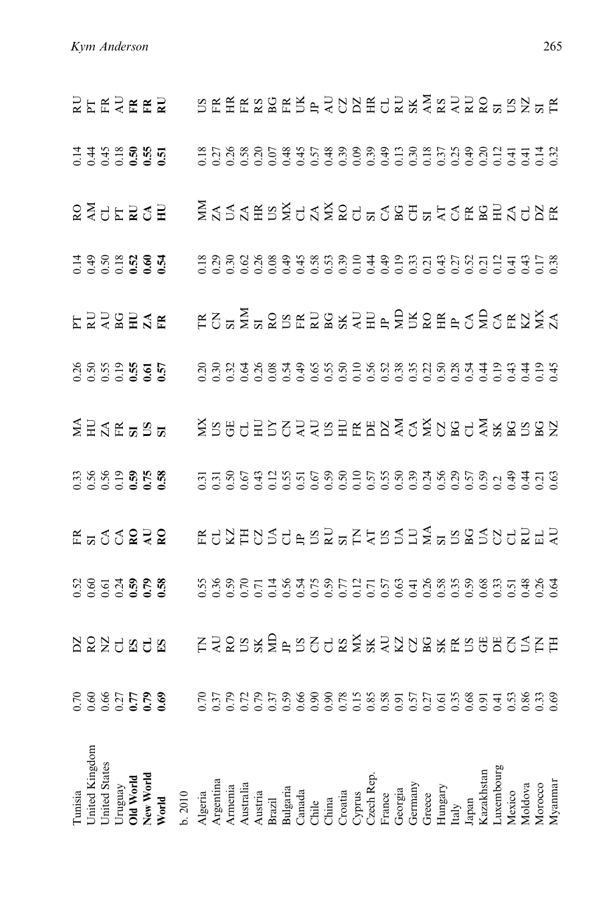| Tunisia<br>United Kingdom<br>United States<br>Uruguay<br>Old World<br>New World                                                                                                                                                                                                                                                                                                                                                                          |                                                                  | 0.500000000000 | E55522                        | 33<br>0.56<br>0.5 <b>0 0.59</b><br>0.59 | <b>AHAEESE</b> | 38<br>3839 <b>850</b><br>3890985 | E 558 E 2 E | $14988$<br>$0.508$<br>$0.50$<br>$0.50$<br>$0.50$ | $2\xi$ <sub>d</sub> $E$ $2\xi$ $E$ | 2000 化和取取                                        |
|----------------------------------------------------------------------------------------------------------------------------------------------------------------------------------------------------------------------------------------------------------------------------------------------------------------------------------------------------------------------------------------------------------------------------------------------------------|------------------------------------------------------------------|----------------|-------------------------------|-----------------------------------------|----------------|----------------------------------|-------------|--------------------------------------------------|------------------------------------|--------------------------------------------------|
| b. 2010                                                                                                                                                                                                                                                                                                                                                                                                                                                  |                                                                  |                |                               |                                         |                |                                  |             |                                                  |                                    |                                                  |
| $\begin{array}{l} \mbox{Algorithm} \\ \mbox{A repertina}\\ \mbox{A metralia}\\ \mbox{Budgrain} \\ \mbox{Budgrain} \\ \mbox{Chain} \\ \mbox{Chain} \\ \mbox{Chain} \\ \mbox{Chain} \\ \mbox{Covain} \\ \mbox{Crotain} \\ \mbox{Crotain} \\ \mbox{Grotia} \\ \mbox{Govogia} \\ \mbox{Govagian} \\ \mbox{Govagian} \\ \mbox{Govagian} \\ \mbox{Govagian} \\ \mbox{Govagian} \\ \mbox{Govagian} \\ \mbox{Govagian} \\ \mbox{Govagian} \\ \mbox{Govagian} \\$ | FR2S # S & B & B & X X & S & X & X & E S & B & Z & E & E & E & F |                | EdNE05deS2x E4S5B\$x S250d2d2 |                                         |                |                                  |             |                                                  | ŠZZZERŠOZŠSOPQBBP 4QEBEZORE        | SEEE & & E S + 2 8 A E d 2 % 2 & 2 2 2 x 5 2 x E |
|                                                                                                                                                                                                                                                                                                                                                                                                                                                          |                                                                  |                |                               |                                         |                |                                  |             |                                                  |                                    |                                                  |
|                                                                                                                                                                                                                                                                                                                                                                                                                                                          |                                                                  |                |                               |                                         |                |                                  |             |                                                  |                                    |                                                  |
|                                                                                                                                                                                                                                                                                                                                                                                                                                                          |                                                                  |                |                               |                                         |                |                                  |             |                                                  |                                    |                                                  |
|                                                                                                                                                                                                                                                                                                                                                                                                                                                          |                                                                  |                |                               |                                         |                |                                  |             |                                                  |                                    |                                                  |
|                                                                                                                                                                                                                                                                                                                                                                                                                                                          |                                                                  |                |                               |                                         |                |                                  |             |                                                  |                                    |                                                  |
|                                                                                                                                                                                                                                                                                                                                                                                                                                                          |                                                                  |                |                               |                                         |                |                                  |             |                                                  |                                    |                                                  |
|                                                                                                                                                                                                                                                                                                                                                                                                                                                          |                                                                  |                |                               |                                         |                |                                  |             |                                                  |                                    |                                                  |
|                                                                                                                                                                                                                                                                                                                                                                                                                                                          |                                                                  |                |                               |                                         |                |                                  |             |                                                  |                                    |                                                  |
|                                                                                                                                                                                                                                                                                                                                                                                                                                                          |                                                                  |                |                               |                                         |                |                                  |             |                                                  |                                    |                                                  |
|                                                                                                                                                                                                                                                                                                                                                                                                                                                          |                                                                  |                |                               |                                         |                |                                  |             |                                                  |                                    |                                                  |
|                                                                                                                                                                                                                                                                                                                                                                                                                                                          |                                                                  |                |                               |                                         |                |                                  |             |                                                  |                                    |                                                  |
|                                                                                                                                                                                                                                                                                                                                                                                                                                                          |                                                                  |                |                               |                                         |                |                                  |             |                                                  |                                    |                                                  |
|                                                                                                                                                                                                                                                                                                                                                                                                                                                          |                                                                  |                |                               |                                         |                |                                  |             |                                                  |                                    |                                                  |
|                                                                                                                                                                                                                                                                                                                                                                                                                                                          |                                                                  |                |                               |                                         |                |                                  |             |                                                  |                                    |                                                  |
|                                                                                                                                                                                                                                                                                                                                                                                                                                                          |                                                                  |                |                               |                                         |                |                                  |             |                                                  |                                    |                                                  |
|                                                                                                                                                                                                                                                                                                                                                                                                                                                          |                                                                  |                |                               |                                         |                |                                  |             |                                                  |                                    |                                                  |
|                                                                                                                                                                                                                                                                                                                                                                                                                                                          |                                                                  |                |                               |                                         |                |                                  |             |                                                  |                                    |                                                  |
|                                                                                                                                                                                                                                                                                                                                                                                                                                                          |                                                                  |                |                               |                                         |                |                                  |             |                                                  |                                    |                                                  |
| Hungary<br>Italy<br>Japan<br>Japan<br>Kazaklastan<br>Kazabourg<br>Luxembourg<br>Moldova                                                                                                                                                                                                                                                                                                                                                                  |                                                                  |                |                               |                                         |                |                                  |             |                                                  |                                    |                                                  |
|                                                                                                                                                                                                                                                                                                                                                                                                                                                          |                                                                  |                |                               |                                         |                |                                  |             |                                                  |                                    |                                                  |
|                                                                                                                                                                                                                                                                                                                                                                                                                                                          |                                                                  |                |                               |                                         |                |                                  |             |                                                  |                                    |                                                  |
|                                                                                                                                                                                                                                                                                                                                                                                                                                                          |                                                                  |                |                               |                                         |                |                                  |             |                                                  |                                    |                                                  |
|                                                                                                                                                                                                                                                                                                                                                                                                                                                          |                                                                  |                |                               |                                         |                |                                  |             |                                                  |                                    |                                                  |
| Morocco                                                                                                                                                                                                                                                                                                                                                                                                                                                  |                                                                  |                |                               |                                         |                |                                  |             |                                                  |                                    |                                                  |
| Myanmar                                                                                                                                                                                                                                                                                                                                                                                                                                                  |                                                                  |                |                               |                                         |                |                                  |             |                                                  |                                    |                                                  |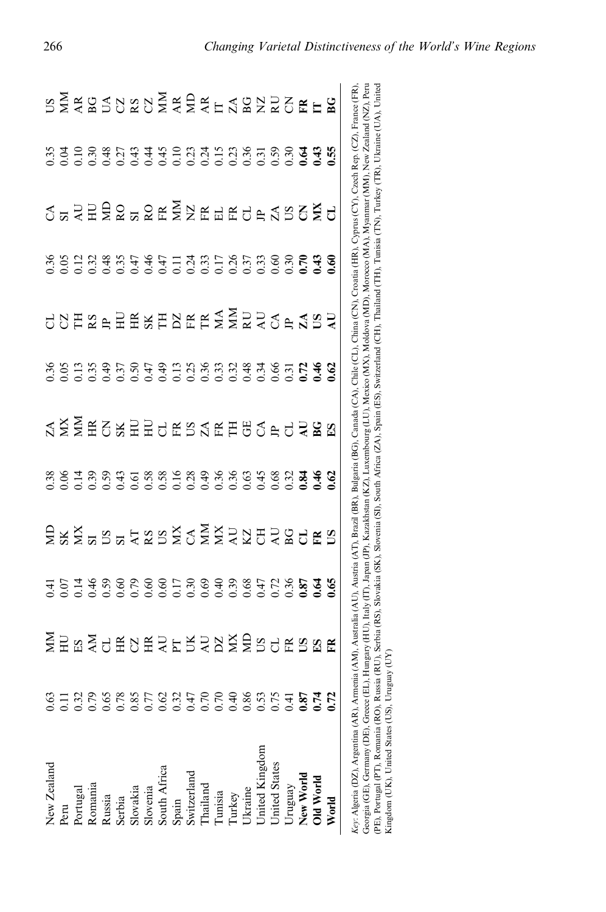| S \$ \$ \$ \$ 5 8 \$ 8 \$ \$ \$ \$ £ \$ E \$ \$ \$ \$ \$ \$ \$ # \$ |      |          |         |                  |                      |             |                                                                                               |  |  |  |  |                                            |                     |
|---------------------------------------------------------------------|------|----------|---------|------------------|----------------------|-------------|-----------------------------------------------------------------------------------------------|--|--|--|--|--------------------------------------------|---------------------|
|                                                                     |      |          |         |                  |                      |             |                                                                                               |  |  |  |  |                                            |                     |
|                                                                     |      |          |         |                  |                      |             |                                                                                               |  |  |  |  |                                            |                     |
| 9922334574514512955996469<br>0000000000000000000000                 |      |          |         |                  |                      |             |                                                                                               |  |  |  |  |                                            |                     |
|                                                                     |      |          |         |                  |                      |             |                                                                                               |  |  |  |  |                                            | SAESFERREREZZESPISE |
|                                                                     |      |          |         |                  |                      |             |                                                                                               |  |  |  |  |                                            |                     |
| <b>ZA SE SA E E SE E SA E E B SA E SA B SA</b>                      |      |          |         |                  |                      |             |                                                                                               |  |  |  |  |                                            |                     |
| 898466889898986988813462<br>60000000000000000000000                 |      |          |         |                  |                      |             |                                                                                               |  |  |  |  |                                            |                     |
|                                                                     |      |          |         |                  |                      |             |                                                                                               |  |  |  |  |                                            |                     |
|                                                                     |      |          |         |                  |                      |             |                                                                                               |  |  |  |  |                                            |                     |
| <b>ŠE &amp; Š S E S E S E S S Š Š S S E S &amp; E</b>               |      |          |         |                  |                      |             |                                                                                               |  |  |  |  |                                            |                     |
|                                                                     |      |          |         |                  |                      |             |                                                                                               |  |  |  |  |                                            |                     |
| New Zealand                                                         | Peru | Portugal | Romania | Russia<br>Serbia | Slovakia<br>Slovenia | outh Africa | Spain<br>Switzerland<br>Thailand<br>Tunisia<br>Turkey<br>Ukraine<br>Ukraine<br>Uiried Kingdom |  |  |  |  | Uruguay<br>New World<br>Old World<br>World |                     |

Key: Algeria (DZ), Argentina (AR), Amenia (AM), Australia (AU), Austria (BR), Bulgaria (BG), Canada (CA), China (CN), Croatia (HR), Cyprus (CY), Czech Rep. (CZ), France (FR),<br>Georgia (GE), Germany (DE), Greec (EL), Hungary Key: Algeria (DZ), Argentina (AR), Armenia (AM), Australia (AU), Austria (AT), Brazil (BR), Bulgaria (BG), Canada (CA), Chile (CL), China (CN), Croatia (HR), Cyprus (CY), Czech Rep. (CZ), France (FR), Georgia (GE), Germany (DE), Greece (EL), Hungary (HU), Italy (IT), Japan (JP), Kazakhstan (KZ), Luxembourg (LU), Mexico (MX), Moldova (MD), Morocco (MA), Myanmar (MM), New Zealand (NZ), Peru (PE), Portugal (PT), Romania (RO), Russia (RU), Serbia (RS), Slovakia (SK), Slovenia (SI), South Africa (ZA), Spain (ES), Switzerland (CH), Thailand (TH), Tunisia (TN), Turkey (TR), Ukraine (UA), United Kingdom (UK), United States (US), Uruguay (UY)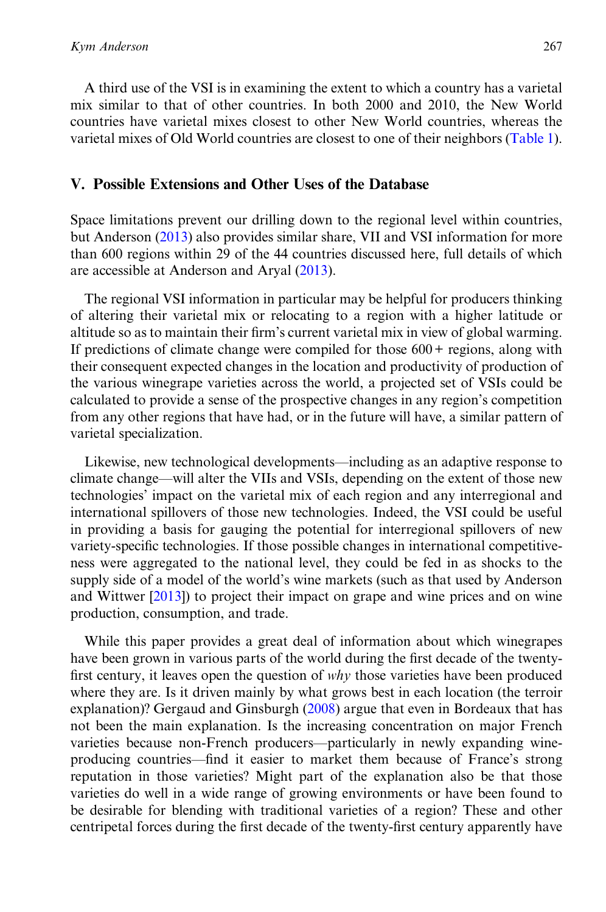A third use of the VSI is in examining the extent to which a country has a varietal mix similar to that of other countries. In both 2000 and 2010, the New World countries have varietal mixes closest to other New World countries, whereas the varietal mixes of Old World countries are closest to one of their neighbors (Table 1).

#### V. Possible Extensions and Other Uses of the Database

Space limitations prevent our drilling down to the regional level within countries, but Anderson (2013) also provides similar share, VII and VSI information for more than 600 regions within 29 of the 44 countries discussed here, full details of which are accessible at Anderson and Aryal (2013).

The regional VSI information in particular may be helpful for producers thinking of altering their varietal mix or relocating to a region with a higher latitude or altitude so as to maintain their firm's current varietal mix in view of global warming. If predictions of climate change were compiled for those  $600 +$  regions, along with their consequent expected changes in the location and productivity of production of the various winegrape varieties across the world, a projected set of VSIs could be calculated to provide a sense of the prospective changes in any region's competition from any other regions that have had, or in the future will have, a similar pattern of varietal specialization.

Likewise, new technological developments—including as an adaptive response to climate change—will alter the VIIs and VSIs, depending on the extent of those new technologies' impact on the varietal mix of each region and any interregional and international spillovers of those new technologies. Indeed, the VSI could be useful in providing a basis for gauging the potential for interregional spillovers of new variety-specific technologies. If those possible changes in international competitiveness were aggregated to the national level, they could be fed in as shocks to the supply side of a model of the world's wine markets (such as that used by Anderson and Wittwer [2013]) to project their impact on grape and wine prices and on wine production, consumption, and trade.

While this paper provides a great deal of information about which winegrapes have been grown in various parts of the world during the first decade of the twentyfirst century, it leaves open the question of why those varieties have been produced where they are. Is it driven mainly by what grows best in each location (the terroir explanation)? Gergaud and Ginsburgh (2008) argue that even in Bordeaux that has not been the main explanation. Is the increasing concentration on major French varieties because non-French producers—particularly in newly expanding wineproducing countries—find it easier to market them because of France's strong reputation in those varieties? Might part of the explanation also be that those varieties do well in a wide range of growing environments or have been found to be desirable for blending with traditional varieties of a region? These and other centripetal forces during the first decade of the twenty-first century apparently have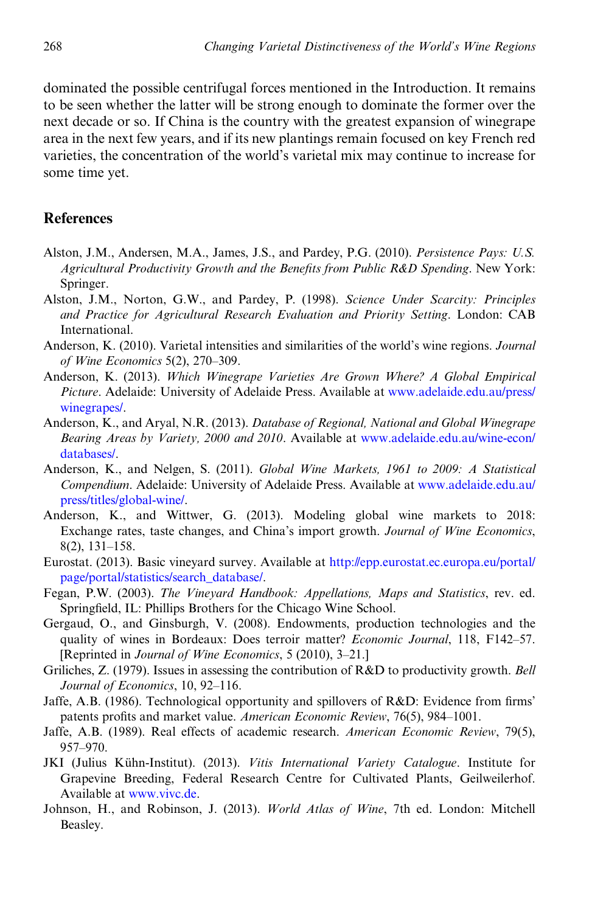dominated the possible centrifugal forces mentioned in the Introduction. It remains to be seen whether the latter will be strong enough to dominate the former over the next decade or so. If China is the country with the greatest expansion of winegrape area in the next few years, and if its new plantings remain focused on key French red varieties, the concentration of the world's varietal mix may continue to increase for some time yet.

## References

- Alston, J.M., Andersen, M.A., James, J.S., and Pardey, P.G. (2010). Persistence Pays: U.S. Agricultural Productivity Growth and the Benefits from Public R&D Spending. New York: Springer.
- Alston, J.M., Norton, G.W., and Pardey, P. (1998). Science Under Scarcity: Principles and Practice for Agricultural Research Evaluation and Priority Setting. London: CAB International.
- Anderson, K. (2010). Varietal intensities and similarities of the world's wine regions. Journal of Wine Economics 5(2), 270–309.
- Anderson, K. (2013). Which Winegrape Varieties Are Grown Where? A Global Empirical Picture. Adelaide: University of Adelaide Press. Available at [www.adelaide.edu.au/press/](http://www.adelaide.edu.au/press/winegrapes/) [winegrapes/](http://www.adelaide.edu.au/press/winegrapes/).
- Anderson, K., and Aryal, N.R. (2013). Database of Regional, National and Global Winegrape Bearing Areas by Variety, 2000 and 2010. Available at [www.adelaide.edu.au/wine-econ/](http://www.adelaide.edu.au/wine-econ/databases/) [databases/](http://www.adelaide.edu.au/wine-econ/databases/).
- Anderson, K., and Nelgen, S. (2011). Global Wine Markets, 1961 to 2009: A Statistical Compendium. Adelaide: University of Adelaide Press. Available at [www.adelaide.edu.au/](http://www.adelaide.edu.au/press/titles/global-wine/) [press/titles/global-wine/](http://www.adelaide.edu.au/press/titles/global-wine/).
- Anderson, K., and Wittwer, G. (2013). Modeling global wine markets to 2018: Exchange rates, taste changes, and China's import growth. Journal of Wine Economics, 8(2), 131–158.
- Eurostat. (2013). Basic vineyard survey. Available at [http://epp.eurostat.ec.europa.eu/portal/](http://epp.eurostat.ec.europa.eu/portal/page/portal/statistics/search_database/) [page/portal/statistics/search\\_database/.](http://epp.eurostat.ec.europa.eu/portal/page/portal/statistics/search_database/)
- Fegan, P.W. (2003). The Vineyard Handbook: Appellations, Maps and Statistics, rev. ed. Springfield, IL: Phillips Brothers for the Chicago Wine School.
- Gergaud, O., and Ginsburgh, V. (2008). Endowments, production technologies and the quality of wines in Bordeaux: Does terroir matter? Economic Journal, 118, F142–57. [Reprinted in Journal of Wine Economics, 5 (2010), 3–21.]
- Griliches, Z. (1979). Issues in assessing the contribution of R&D to productivity growth. Bell Journal of Economics, 10, 92–116.
- Jaffe, A.B. (1986). Technological opportunity and spillovers of R&D: Evidence from firms' patents profits and market value. American Economic Review, 76(5), 984–1001.
- Jaffe, A.B. (1989). Real effects of academic research. American Economic Review, 79(5), 957–970.
- JKI (Julius Kühn-Institut). (2013). Vitis International Variety Catalogue. Institute for Grapevine Breeding, Federal Research Centre for Cultivated Plants, Geilweilerhof. Available at [www.vivc.de.](http://www.vivc.de)
- Johnson, H., and Robinson, J. (2013). World Atlas of Wine, 7th ed. London: Mitchell Beasley.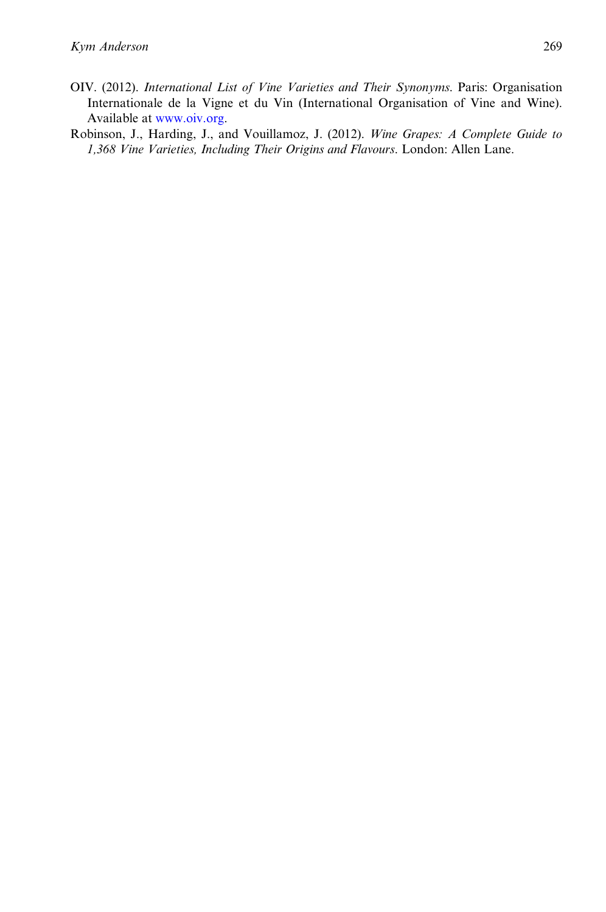- OIV. (2012). International List of Vine Varieties and Their Synonyms. Paris: Organisation Internationale de la Vigne et du Vin (International Organisation of Vine and Wine). Available at [www.oiv.org](http://www.oiv.org).
- Robinson, J., Harding, J., and Vouillamoz, J. (2012). Wine Grapes: A Complete Guide to 1,368 Vine Varieties, Including Their Origins and Flavours. London: Allen Lane.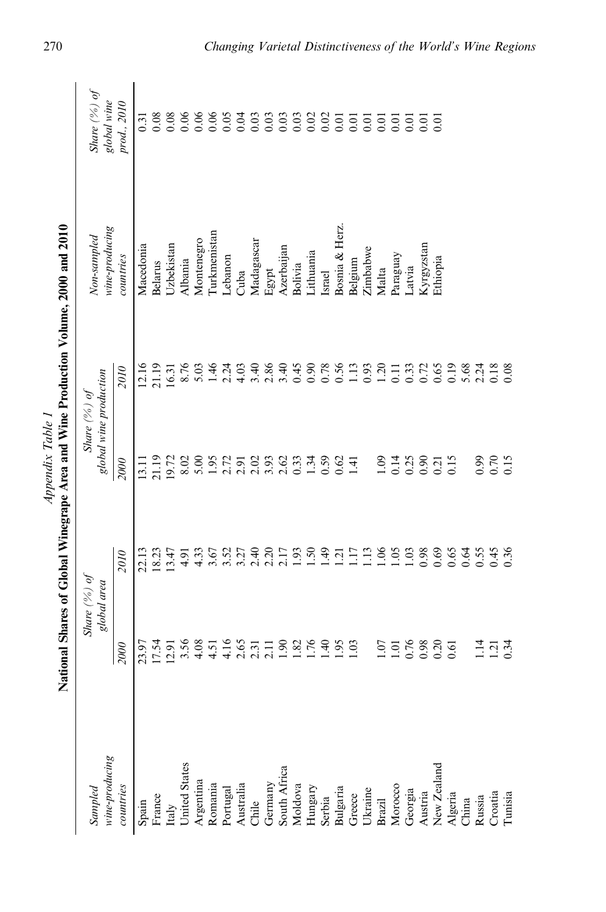| 2010<br>$\sim$<br>.<br>F<br>í<br>l |  |
|------------------------------------|--|
|                                    |  |
|                                    |  |
|                                    |  |
|                                    |  |
|                                    |  |
|                                    |  |
|                                    |  |
|                                    |  |
|                                    |  |

| vine-producing<br>Sampled                                                                                                                                                                                                                                                                                    | Share $( \% )$ of<br>global area                                    |                                       | global wine production<br>Share $(^{9}o)$ of                                                                                                        |                                                                              | wine-producing<br>Non-sampled | Share $(%$ ) of<br>global wine |
|--------------------------------------------------------------------------------------------------------------------------------------------------------------------------------------------------------------------------------------------------------------------------------------------------------------|---------------------------------------------------------------------|---------------------------------------|-----------------------------------------------------------------------------------------------------------------------------------------------------|------------------------------------------------------------------------------|-------------------------------|--------------------------------|
| countries                                                                                                                                                                                                                                                                                                    | 2000                                                                | 2010                                  | 2000                                                                                                                                                | 2010                                                                         | countries                     | prod., 2010                    |
|                                                                                                                                                                                                                                                                                                              |                                                                     | 22.13                                 |                                                                                                                                                     | 12.16                                                                        | Macedonia                     |                                |
|                                                                                                                                                                                                                                                                                                              |                                                                     |                                       |                                                                                                                                                     | 21.19                                                                        | Belarus                       |                                |
| Spain<br>France<br>Italy<br>United States<br>Argentina<br>Argentina<br>Australia<br>Chule<br>Georgia<br>Sugaria<br>Sugaria<br>Sugaria<br>Bulgaria<br>Bulgaria<br>Suchia<br>Bulgaria<br>Sucha<br>Bulgaria<br>Sucha<br>Bulgaria<br>Duolova<br>Bulgaria<br>Bulgaria<br>Duolova<br>Bulgaria<br>Duolova<br>Bulgar | 23.97<br>17.54<br>12.91                                             | 18.23<br>13.47                        | 11 21 22 32 32 32 32 32 32 32 32 4<br>11 32 32 32 32 32 33 4 53 54 55 65 76 77 78 95 66 77 78 96 77 78 96 77 78 96 77 79 96 77 79 97 79 79 70 70 70 | 16.31                                                                        | Uzbekistan                    | $0.38$<br>$0.08$               |
|                                                                                                                                                                                                                                                                                                              |                                                                     | 4.91                                  |                                                                                                                                                     |                                                                              | Albania                       | 88883563668885555              |
|                                                                                                                                                                                                                                                                                                              |                                                                     | 4.33                                  |                                                                                                                                                     | 8.76<br>5.03                                                                 | Montenegro                    |                                |
|                                                                                                                                                                                                                                                                                                              |                                                                     | 3.67                                  |                                                                                                                                                     | 1.46                                                                         | <b>Turkmenistan</b>           |                                |
|                                                                                                                                                                                                                                                                                                              |                                                                     | $3.57$<br>$3.54$<br>$3.54$            |                                                                                                                                                     | 2.24                                                                         | Lebanon                       |                                |
|                                                                                                                                                                                                                                                                                                              |                                                                     |                                       |                                                                                                                                                     | 4.03                                                                         | Cuba                          |                                |
|                                                                                                                                                                                                                                                                                                              |                                                                     |                                       |                                                                                                                                                     |                                                                              | Madagascar                    |                                |
|                                                                                                                                                                                                                                                                                                              |                                                                     | $2.17$<br>$2.193$                     |                                                                                                                                                     |                                                                              | Egypt                         |                                |
|                                                                                                                                                                                                                                                                                                              |                                                                     |                                       |                                                                                                                                                     |                                                                              | Azerbaijan                    |                                |
|                                                                                                                                                                                                                                                                                                              |                                                                     |                                       |                                                                                                                                                     | $3.86$<br>$7.86$<br>$7.45$<br>$8.86$<br>$7.58$<br>$7.58$<br>$7.58$<br>$7.58$ | Bolivia                       |                                |
|                                                                                                                                                                                                                                                                                                              |                                                                     | 1.50                                  |                                                                                                                                                     |                                                                              | Lithuania                     |                                |
|                                                                                                                                                                                                                                                                                                              |                                                                     | 1.49                                  |                                                                                                                                                     |                                                                              | Israel                        |                                |
|                                                                                                                                                                                                                                                                                                              |                                                                     | 1.21                                  |                                                                                                                                                     |                                                                              | Bosnia & Herz.                |                                |
|                                                                                                                                                                                                                                                                                                              | 1.03                                                                | 1.17                                  |                                                                                                                                                     |                                                                              | Belgium                       |                                |
|                                                                                                                                                                                                                                                                                                              |                                                                     | $\frac{13}{1.06}$ $\frac{0.03}{0.03}$ |                                                                                                                                                     |                                                                              | Zimbabwe                      |                                |
|                                                                                                                                                                                                                                                                                                              |                                                                     |                                       |                                                                                                                                                     |                                                                              | Malta                         |                                |
|                                                                                                                                                                                                                                                                                                              |                                                                     |                                       |                                                                                                                                                     |                                                                              | Paraguay                      |                                |
|                                                                                                                                                                                                                                                                                                              | $\begin{array}{c} 1.07 \\ 1.01 \\ 0.78 \\ 0.03 \\ 0.05 \end{array}$ |                                       |                                                                                                                                                     |                                                                              | Latvia                        | $\frac{0.01}{0.01}$            |
|                                                                                                                                                                                                                                                                                                              |                                                                     |                                       |                                                                                                                                                     |                                                                              | Kyrgyzstan                    | $\overline{0.0}$               |
|                                                                                                                                                                                                                                                                                                              |                                                                     | 0.65                                  |                                                                                                                                                     |                                                                              | Ethiopia                      | $\overline{0.0}$               |
|                                                                                                                                                                                                                                                                                                              |                                                                     |                                       |                                                                                                                                                     |                                                                              |                               |                                |
|                                                                                                                                                                                                                                                                                                              |                                                                     | 0.64                                  |                                                                                                                                                     |                                                                              |                               |                                |
|                                                                                                                                                                                                                                                                                                              | 1.14                                                                |                                       |                                                                                                                                                     |                                                                              |                               |                                |
|                                                                                                                                                                                                                                                                                                              | $\frac{21}{23}$                                                     | 55<br>0.43<br>0.0                     | 8. 8. 13<br>0. 13<br>0. 13                                                                                                                          |                                                                              |                               |                                |
|                                                                                                                                                                                                                                                                                                              |                                                                     |                                       |                                                                                                                                                     |                                                                              |                               |                                |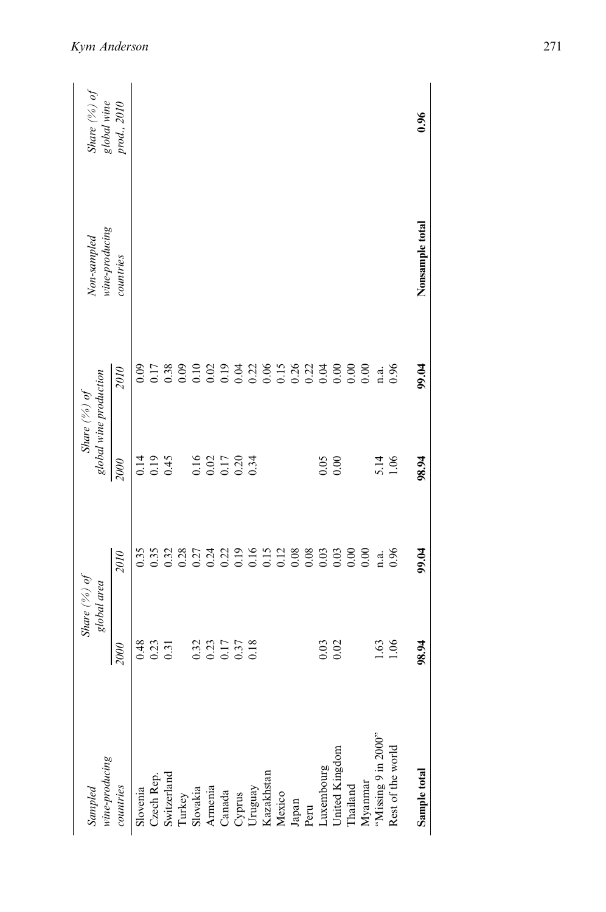| wine-producing<br>Sampled                                       |                             | Share $(%)$ of<br>global area | Share $( \% )$ of     | global wine production | wine-producing<br>Non-sampled | Share $(%$ ) of<br>global wine |
|-----------------------------------------------------------------|-----------------------------|-------------------------------|-----------------------|------------------------|-------------------------------|--------------------------------|
| countries                                                       | 2000                        | 2010                          | 2000                  | 2010                   | countries                     | prod., 2010                    |
|                                                                 | 0.48                        |                               | 0.14                  |                        |                               |                                |
|                                                                 | 0.23                        |                               | 0.19                  |                        |                               |                                |
|                                                                 | 0.31                        |                               | 0.45                  |                        |                               |                                |
|                                                                 |                             |                               |                       |                        |                               |                                |
| Slovenia<br>Czech Rep.<br>Switzerland<br>Turkey<br>Slovakia     |                             |                               |                       |                        |                               |                                |
|                                                                 |                             |                               |                       |                        |                               |                                |
|                                                                 | 32<br>0.217<br>0.57<br>0.18 |                               | 0.02<br>0.07<br>0.034 |                        |                               |                                |
|                                                                 |                             |                               |                       |                        |                               |                                |
| Armenia<br>Canada<br>Cyprus<br>Uruguay<br>Uruguay<br>Kazakhstan |                             |                               |                       |                        |                               |                                |
|                                                                 |                             |                               |                       |                        |                               |                                |
| Mexico                                                          |                             |                               |                       |                        |                               |                                |
|                                                                 |                             |                               |                       |                        |                               |                                |
| Japan<br>Peru                                                   |                             |                               |                       |                        |                               |                                |
|                                                                 | 0.03                        |                               |                       |                        |                               |                                |
|                                                                 | 0.02                        |                               | 0.05                  |                        |                               |                                |
| Luxembourg<br>United Kingdom<br>Thailand                        |                             |                               |                       |                        |                               |                                |
|                                                                 |                             |                               |                       |                        |                               |                                |
| Myanmar<br>"Missing 9 in 2000"                                  | 1.63                        | n.a.                          | 5.14                  | n.a.<br>0.96           |                               |                                |
| Rest of the world                                               | 1.06                        | 0.96                          |                       |                        |                               |                                |
| Sample total                                                    | 98.94                       | 99.04                         | 98.94                 | 99.04                  | Nonsample total               | 0.96                           |